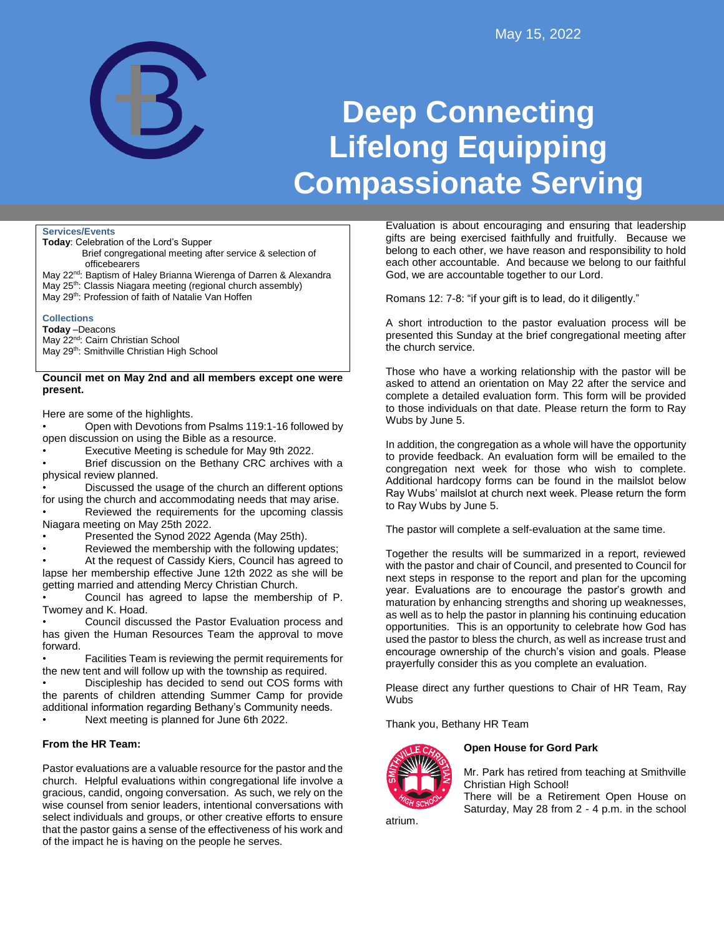

# **Deep Connecting Lifelong Equipping Compassionate Serving**

**Services/Events**

- **Today**: Celebration of the Lord's Supper
	- Brief congregational meeting after service & selection of officebearers
- May 22<sup>nd</sup>: Baptism of Haley Brianna Wierenga of Darren & Alexandra
- May 25<sup>th</sup>: Classis Niagara meeting (regional church assembly)
- May 29<sup>th</sup>: Profession of faith of Natalie Van Hoffen

## **Collections**

**Today** –Deacons May 22<sup>nd</sup>: Cairn Christian School May 29<sup>th</sup>: Smithville Christian High School

#### **Council met on May 2nd and all members except one were present.**

Here are some of the highlights.

• Open with Devotions from Psalms 119:1-16 followed by open discussion on using the Bible as a resource.

• Executive Meeting is schedule for May 9th 2022.

Brief discussion on the Bethany CRC archives with a physical review planned.

• Discussed the usage of the church an different options for using the church and accommodating needs that may arise.

Reviewed the requirements for the upcoming classis Niagara meeting on May 25th 2022.

- Presented the Synod 2022 Agenda (May 25th).
- Reviewed the membership with the following updates;

At the request of Cassidy Kiers, Council has agreed to lapse her membership effective June 12th 2022 as she will be getting married and attending Mercy Christian Church.

• Council has agreed to lapse the membership of P. Twomey and K. Hoad.

• Council discussed the Pastor Evaluation process and has given the Human Resources Team the approval to move forward.

• Facilities Team is reviewing the permit requirements for the new tent and will follow up with the township as required.

• Discipleship has decided to send out COS forms with the parents of children attending Summer Camp for provide additional information regarding Bethany's Community needs. • Next meeting is planned for June 6th 2022.

**From the HR Team:** 

Pastor evaluations are a valuable resource for the pastor and the church. Helpful evaluations within congregational life involve a gracious, candid, ongoing conversation. As such, we rely on the wise counsel from senior leaders, intentional conversations with select individuals and groups, or other creative efforts to ensure that the pastor gains a sense of the effectiveness of his work and of the impact he is having on the people he serves.

Evaluation is about encouraging and ensuring that leadership gifts are being exercised faithfully and fruitfully. Because we belong to each other, we have reason and responsibility to hold each other accountable. And because we belong to our faithful God, we are accountable together to our Lord.

Romans 12: 7-8: "if your gift is to lead, do it diligently."

A short introduction to the pastor evaluation process will be presented this Sunday at the brief congregational meeting after the church service.

Those who have a working relationship with the pastor will be asked to attend an orientation on May 22 after the service and complete a detailed evaluation form. This form will be provided to those individuals on that date. Please return the form to Ray Wubs by June 5.

In addition, the congregation as a whole will have the opportunity to provide feedback. An evaluation form will be emailed to the congregation next week for those who wish to complete. Additional hardcopy forms can be found in the mailslot below Ray Wubs' mailslot at church next week. Please return the form to Ray Wubs by June 5.

The pastor will complete a self-evaluation at the same time.

Together the results will be summarized in a report, reviewed with the pastor and chair of Council, and presented to Council for next steps in response to the report and plan for the upcoming year. Evaluations are to encourage the pastor's growth and maturation by enhancing strengths and shoring up weaknesses, as well as to help the pastor in planning his continuing education opportunities. This is an opportunity to celebrate how God has used the pastor to bless the church, as well as increase trust and encourage ownership of the church's vision and goals. Please prayerfully consider this as you complete an evaluation.

Please direct any further questions to Chair of HR Team, Ray **Wubs** 

Thank you, Bethany HR Team



## **Open House for Gord Park**

Mr. Park has retired from teaching at Smithville Christian High School!

There will be a Retirement Open House on Saturday, May 28 from 2 - 4 p.m. in the school

atrium.